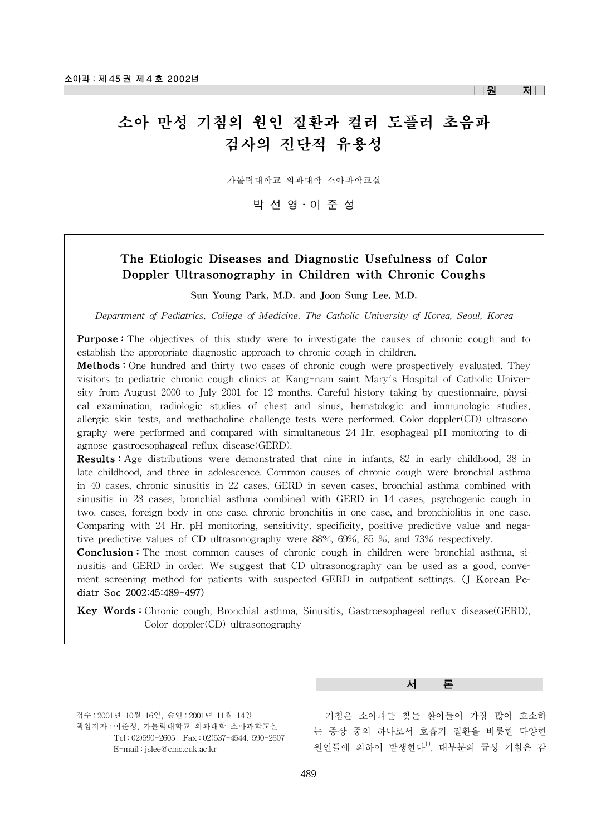$\Box$ 원 저 $\Box$ 

# 소아 만성 기침의 원인 질환과 컬러 도플러 초음파 검사의 진단적 유용성

가톨릭대학교 의과대학 소아과학교실

박선영·이준성

### The Etiologic Diseases and Diagnostic Usefulness of Color Doppler Ultrasonography in Children with Chronic Coughs

Sun Young Park, M.D. and Joon Sung Lee, M.D.

*Department of Pediatrics, College of Medicine, The Catholic University of Korea, Seoul, Korea*

**Purpose:** The objectives of this study were to investigate the causes of chronic cough and to establish the appropriate diagnostic approach to chronic cough in children.

Methods : One hundred and thirty two cases of chronic cough were prospectively evaluated. They visitors to pediatric chronic cough clinics at Kang-nam saint Mary's Hospital of Catholic University from August 2000 to July 2001 for 12 months. Careful history taking by questionnaire, physical examination, radiologic studies of chest and sinus, hematologic and immunologic studies, allergic skin tests, and methacholine challenge tests were performed. Color doppler(CD) ultrasonography were performed and compared with simultaneous 24 Hr. esophageal pH monitoring to diagnose gastroesophageal reflux disease(GERD).

Results : Age distributions were demonstrated that nine in infants, 82 in early childhood, 38 in late childhood, and three in adolescence. Common causes of chronic cough were bronchial asthma in 40 cases, chronic sinusitis in 22 cases, GERD in seven cases, bronchial asthma combined with sinusitis in 28 cases, bronchial asthma combined with GERD in 14 cases, psychogenic cough in two. cases, foreign body in one case, chronic bronchitis in one case, and bronchiolitis in one case. Comparing with 24 Hr. pH monitoring, sensitivity, specificity, positive predictive value and negative predictive values of CD ultrasonography were 88%, 69%, 85 %, and 73% respectively.

**Conclusion :** The most common causes of chronic cough in children were bronchial asthma, sinusitis and GERD in order. We suggest that CD ultrasonography can be used as a good, convenient screening method for patients with suspected GERD in outpatient settings. (J Korean Pediatr Soc 2002;45:489-497)

Key Words : Chronic cough, Bronchial asthma, Sinusitis, Gastroesophageal reflux disease(GERD), Color doppler(CD) ultrasonography

접수 : 2001년 10월 16일, 승인 : 2001년 11월 14일 책임저자 : 이준성, 가톨릭대학교 의과대학 소아과학교실 Tel : 02)590-2605 Fax : 02)537-4544, 590-2607

E-mail : jslee@cmc.cuk.ac.kr

#### 서 론

기침은 소아과를 찾는 환아들이 가장 많이 호소하 는 증상 중의 하나로서 호흡기 질환을 비롯한 다양한 원인들에 의하여 발생한다<sup>1)</sup>. 대부분의 급성 기침은 감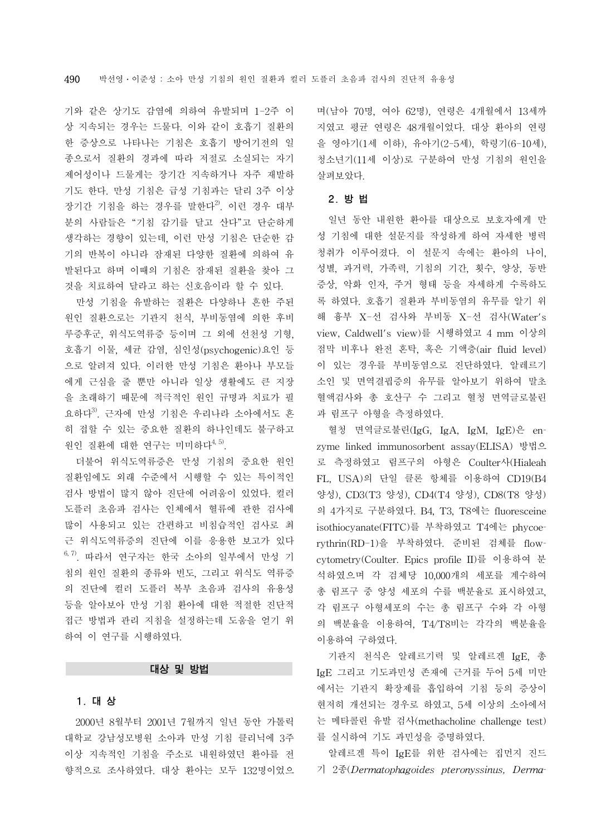기와 같은 상기도 감염에 의하여 유발되며 1-2주 이 상 지속되는 경우는 드물다. 이와 같이 호흡기 질환의 한 증상으로 나타나는 기침은 호흡기 방어기전의 일 종으로서 질환의 경과에 따라 저절로 소실되는 자기 제어성이나 드물게는 장기간 지속하거나 자주 재발하 기도 한다. 만성 기침은 급성 기침과는 달리 3주 이상 장기간 기침을 하는 경우를 말한다2). 이런 경우 대부 분의 사람들은 "기침 감기를 달고 산다"고 단순하게 생각하는 경향이 있는데, 이런 만성 기침은 단순한 감 기의 반복이 아니라 잠재된 다양한 질환에 의하여 유 발된다고 하며 이때의 기침은 잠재된 질환을 찾아 그 것을 치료하여 달라고 하는 신호음이라 할 수 있다.

만성 기침을 유발하는 질환은 다양하나 흔한 주된 원인 질환으로는 기관지 천식, 부비동염에 의한 후비 루증후군, 위식도역류증 등이며 그 외에 선천성 기형, 호흡기 이물, 세균 감염, 심인성(psychogenic)요인 등 으로 알려져 있다. 이러한 만성 기침은 환아나 부모들 에게 근심을 줄 뿐만 아니라 일상 생활에도 큰 지장 을 초래하기 때문에 적극적인 원인 규명과 치료가 필 요하다<sup>3)</sup>. 근자에 만성 기침은 우리나라 소아에서도 흔 히 접할 수 있는 중요한 질환의 하나인데도 불구하고 원인 질환에 대한 연구는 미미하다<sup>4, 5)</sup>.

더불어 위식도역류증은 만성 기침의 중요한 원인 질환임에도 외래 수준에서 시행할 수 있는 특이적인 검사 방법이 많지 않아 진단에 어려움이 있었다. 컬러 도플러 초음파 검사는 인체에서 혈류에 관한 검사에 많이 사용되고 있는 간편하고 비침습적인 검사로 최 근 위식도역류증의 진단에 이를 응용한 보고가 있다  $^{6, 7)}$ . 따라서 연구자는 한국 소아의 일부에서 만성 기 침의 원인 질환의 종류와 빈도, 그리고 위식도 역류증 의 진단에 컬러 도플러 복부 초음파 검사의 유용성 등을 알아보아 만성 기침 환아에 대한 적절한 진단적 접근 방법과 관리 지침을 설정하는데 도움을 얻기 위 하여 이 연구를 시행하였다.

#### 대상 및 방법

#### 1. 대 상

2000년 8월부터 2001년 7월까지 일년 동안 가톨릭 대학교 강남성모병원 소아과 만성 기침 클리닉에 3주 이상 지속적인 기침을 주소로 내원하였던 환아를 전 향적으로 조사하였다. 대상 환아는 모두 132명이었으 며(남아 70명, 여아 62명), 연령은 4개월에서 13세까 지였고 평균 연령은 48개월이었다. 대상 환아의 연령 을 영아기(1세 이하), 유아기(2-5세), 학령기(6-10세), 청소년기(11세 이상)로 구분하여 만성 기침의 원인을 살펴보았다.

#### 2. 방 법

일년 동안 내원한 환아를 대상으로 보호자에게 만 성 기침에 대한 설문지를 작성하게 하여 자세한 병력 청취가 이루어졌다. 이 설문지 속에는 환아의 나이, 성별, 과거력, 가족력, 기침의 기간, 횟수, 양상, 동반 증상, 악화 인자, 주거 형태 등을 자세하게 수록하도 록 하였다. 호흡기 질환과 부비동염의 유무를 알기 위 해 흉부 X-선 검사와 부비동 X-선 검사(Water's view, Caldwell's view)를 시행하였고 4 mm 이상의 점막 비후나 완전 혼탁, 혹은 기액층(air fluid level) 이 있는 경우를 부비동염으로 진단하였다. 알레르기 소인 및 면역결핍증의 유무를 알아보기 위하여 말초 혈액검사와 총 호산구 수 그리고 혈청 면역글로불린 과 림프구 아형을 측정하였다.

혈청 면역글로불린(IgG, IgA, IgM, IgE)은 enzyme linked immunosorbent assay(ELISA) 방법으 로 측정하였고 림프구의 아형은 Coulter사(Hialeah FL, USA)의 단일 클론 항체를 이용하여 CD19(B4 양성), CD3(T3 양성), CD4(T4 양성), CD8(T8 양성) 의 4가지로 구분하였다. B4, T3, T8에는 fluoresceine isothiocyanate(FITC)를 부착하였고 T4에는 phycoerythrin(RD-1)을 부착하였다. 준비된 검체를 flowcytometry(Coulter. Epics profile II)를 이용하여 분 석하였으며 각 검체당 10,000개의 세포를 계수하여 총 림프구 중 양성 세포의 수를 백분율로 표시하였고, 각 림프구 아형세포의 수는 총 림프구 수와 각 아형 의 백분율을 이용하여, T4/T8비는 각각의 백분율을 이용하여 구하였다.

기관지 천식은 알레르기력 및 알레르겐 IgE, 총 IgE 그리고 기도과민성 존재에 근거를 두어 5세 미만 에서는 기관지 확장제를 흡입하여 기침 등의 증상이 현저히 개선되는 경우로 하였고, 5세 이상의 소아에서 는 메타콜린 유발 검사(methacholine challenge test) 를 실시하여 기도 과민성을 증명하였다.

알레르겐 특이 IgE를 위한 검사에는 집먼지 진드 기 2종(*Dermatophagoides pteronyssinus, Derma-*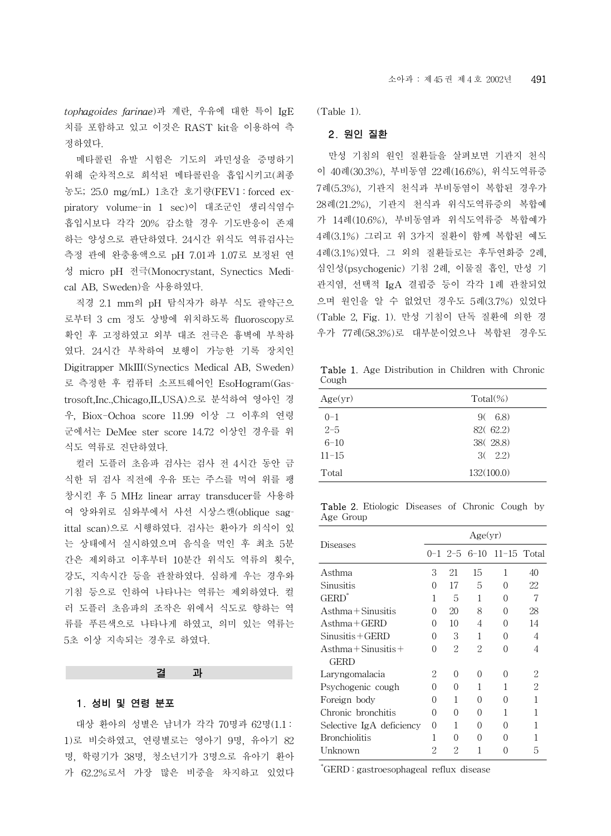*tophagoides farinae*)과 계란, 우유에 대한 특이 IgE 치를 포함하고 있고 이것은 RAST kit을 이용하여 측 정하였다.

메타콜린 유발 시험은 기도의 과민성을 증명하기 위해 순차적으로 희석된 메타콜린을 흡입시키고(최종 농도; 25.0 mg/mL) 1초간 호기량(FEV1 : forced expiratory volume-in 1 sec)이 대조군인 생리식염수 흡입시보다 각각 20% 감소할 경우 기도반응이 존재 하는 양성으로 판단하였다. 24시간 위식도 역류검사는 측정 관에 완충용액으로 pH 7.01과 1.07로 보정된 연 성 micro pH 전극(Monocrystant, Synectics Medical AB, Sweden)을 사용하였다.

직경 2.1 mm의 pH 탐식자가 하부 식도 괄약근으 로부터 3 cm 정도 상방에 위치하도록 fluoroscopy로 확인 후 고정하였고 외부 대조 전극은 흉벽에 부착하 였다. 24시간 부착하여 보행이 가능한 기록 장치인 Digitrapper MkIII(Synectics Medical AB, Sweden) 로 측정한 후 컴퓨터 소프트웨어인 EsoHogram(Gastrosoft,Inc.,Chicago,IL,USA)으로 분석하여 영아인 경 우, Biox-Ochoa score 11.99 이상 그 이후의 연령 군에서는 DeMee ster score 14.72 이상인 경우를 위 식도 역류로 진단하였다.

컬러 도플러 초음파 검사는 검사 전 4시간 동안 금 식한 뒤 검사 직전에 우유 또는 주스를 먹여 위를 팽 창시킨 후 5 MHz linear array transducer를 사용하 여 앙와위로 심와부에서 사선 시상스캔(oblique sagittal scan)으로 시행하였다. 검사는 환아가 의식이 있 는 상태에서 실시하였으며 음식을 먹인 후 최초 5분 간은 제외하고 이후부터 10분간 위식도 역류의 횟수, 강도, 지속시간 등을 관찰하였다. 심하게 우는 경우와 기침 등으로 인하여 나타나는 역류는 제외하였다. 컬 러 도플러 초음파의 조작은 위에서 식도로 향하는 역 류를 푸른색으로 나타나게 하였고, 의미 있는 역류는 5초 이상 지속되는 경우로 하였다.

## 1. 성비 및 연령 분포

대상 환아의 성별은 남녀가 각각 70명과 62명(1.1 : 1)로 비슷하였고, 연령별로는 영아기 9명, 유아기 82 명, 학령기가 38명, 청소년기가 3명으로 유아기 환아 가 62.2%로서 가장 많은 비중을 차지하고 있었다

결 과

(Table 1).

#### 2. 원인 질환

만성 기침의 원인 질환들을 살펴보면 기관지 천식 이 40례(30.3%), 부비동염 22례(16.6%), 위식도역류증 7례(5.3%), 기관지 천식과 부비동염이 복합된 경우가 28례(21.2%), 기관지 천식과 위식도역류증의 복합예 가 14례(10.6%), 부비동염과 위식도역류증 복합예가 4례(3.1%) 그리고 위 3가지 질환이 함께 복합된 예도 4례(3.1%)였다. 그 외의 질환들로는 후두연화증 2례, 심인성(psychogenic) 기침 2례, 이물질 흡인, 만성 기 관지염, 선택적 IgA 결핍증 등이 각각 1례 관찰되었 으며 원인을 알 수 없었던 경우도 5례(3.7%) 있었다 (Table 2, Fig. 1). 만성 기침이 단독 질환에 의한 경 우가 77례(58.3%)로 대부분이었으나 복합된 경우도

Table 1. Age Distribution in Children with Chronic Cough

| Age(yr)   | $Total(\%)$ |
|-----------|-------------|
| $() - 1$  | 9(6.8)      |
| $2 - 5$   | 82(62.2)    |
| $6 - 10$  | 38(28.8)    |
| $11 - 15$ | 3(2.2)      |
| Total     | 132(100.0)  |

Table 2. Etiologic Diseases of Chronic Cough by Age Group

|                          | Age(yr)          |    |                  |                                    |    |
|--------------------------|------------------|----|------------------|------------------------------------|----|
| Diseases                 |                  |    |                  | $0-1$ 2-5 6-10 11-15 Total         |    |
| Asthma                   | 3                | 21 | 15               | 1                                  | 40 |
| Sinusitis                | $\Omega$         | 17 | 5                | Ω                                  | 22 |
| GERD"                    | 1                | 5  | 1                | 0                                  | 7  |
| Asthma + Sinusitis       | $\Omega$         | 20 | 8                | Ω                                  | 28 |
| $A$ sthma + GERD         | $\Omega$         | 10 | 4                | Ω                                  | 14 |
| Sinusitis + GERD         | Ω                | 3  | 1                | Ω                                  | 4  |
| Asthma + Sinusitis +     |                  | 2  | 2                | Ω                                  | 4  |
| GERD                     |                  |    |                  |                                    |    |
| Laryngomalacia           | 2                | 0  | $\Omega$         | Ω                                  | 2  |
| Psychogenic cough        | ∩                | 0  | 1                | 1                                  | 2  |
| Foreign body             | $\left( \right)$ | 1  | $\left( \right)$ | $\scriptstyle\left(\right.\right)$ | 1  |
| Chronic bronchitis       | 0                | 0  | $\Omega$         | 1                                  |    |
| Selective IgA deficiency | $\Omega$         | 1  | $\left( \right)$ | $\left( \right)$                   |    |
| <b>Bronchiolitis</b>     | 1                | 0  | $\Omega$         | ( )                                |    |
| Unknown                  | 2                | 2  |                  |                                    | 5  |

\* GERD : gastroesophageal reflux disease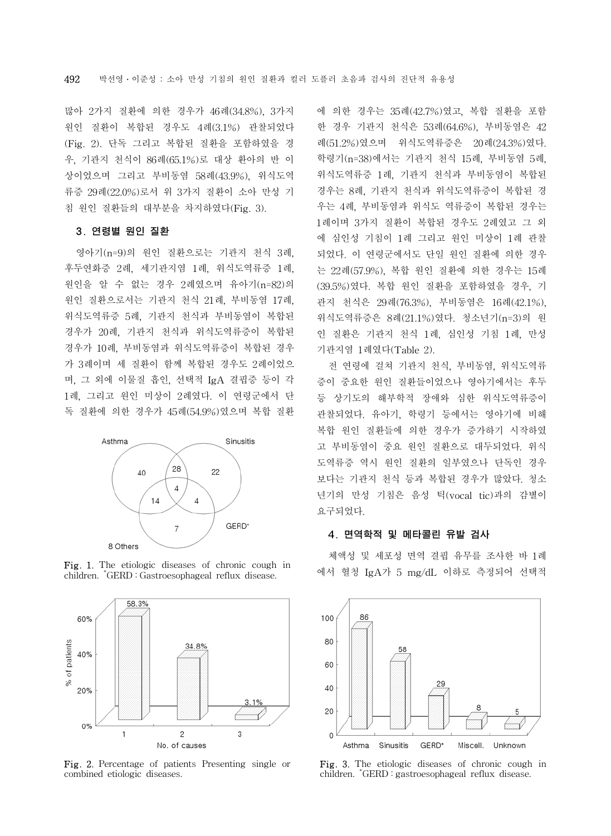많아 2가지 질환에 의한 경우가 46례(34.8%), 3가지 원인 질환이 복합된 경우도 4례(3.1%) 관찰되었다 (Fig. 2). 단독 그리고 복합된 질환을 포함하였을 경 우, 기관지 천식이 86례(65.1%)로 대상 환아의 반 이 상이었으며 그리고 부비동염 58례(43.9%), 위식도역 류증 29례(22.0%)로서 위 3가지 질환이 소아 만성 기 침 원인 질환들의 대부분을 차지하였다(Fig. 3).

#### 3. 연령별 원인 질환

영아기(n=9)의 원인 질환으로는 기관지 천식 3례, 후두연화증 2례, 세기관지염 1례, 위식도역류증 1례, 원인을 알 수 없는 경우 2례였으며 유아기(n=82)의 원인 질환으로서는 기관지 천식 21례, 부비동염 17례, 위식도역류증 5례, 기관지 천식과 부비동염이 복합된 경우가 20례, 기관지 천식과 위식도역류증이 복합된 경우가 10례, 부비동염과 위식도역류증이 복합된 경우 가 3례이며 세 질환이 함께 복합된 경우도 2례이었으 며, 그 외에 이물질 흡인, 선택적 IgA 결핍증 등이 각 1례, 그리고 원인 미상이 2례였다. 이 연령군에서 단 독 질환에 의한 경우가 45례(54.9%)였으며 복합 질환



Fig. 1. The etiologic diseases of chronic cough in children. \* GERD : Gastroesophageal reflux disease.



Fig. 2. Percentage of patients Presenting single or combined etiologic diseases.

에 의한 경우는 35례(42.7%)였고, 복합 질환을 포함 한 경우 기관지 천식은 53례(64.6%), 부비동염은 42 례(51.2%)였으며 위식도역류증은 20례(24.3%)였다. 학령기(n=38)에서는 기관지 천식 15례, 부비동염 5례, 위식도역류증 1례, 기관지 천식과 부비동염이 복합된 경우는 8례, 기관지 천식과 위식도역류증이 복합된 경 우는 4례, 부비동염과 위식도 역류증이 복합된 경우는 1례이며 3가지 질환이 복합된 경우도 2례였고 그 외 에 심인성 기침이 1례 그리고 원인 미상이 1례 관찰 되었다. 이 연령군에서도 단일 원인 질환에 의한 경우 는 22례(57.9%), 복합 원인 질환에 의한 경우는 15례 (39.5%)였다. 복합 원인 질환을 포함하였을 경우, 기 관지 천식은 29례(76.3%), 부비동염은 16례(42.1%), 위식도역류증은 8례(21.1%)였다. 청소년기(n=3)의 원 인 질환은 기관지 천식 1례, 심인성 기침 1례, 만성 기관지염 1례였다(Table 2).

전 연령에 걸쳐 기관지 천식, 부비동염, 위식도역류 증이 중요한 원인 질환들이었으나 영아기에서는 후두 등 상기도의 해부학적 장애와 심한 위식도역류증이 관찰되었다. 유아기, 학령기 등에서는 영아기에 비해 복합 원인 질환들에 의한 경우가 증가하기 시작하였 고 부비동염이 중요 원인 질환으로 대두되었다. 위식 도역류증 역시 원인 질환의 일부였으나 단독인 경우 보다는 기관지 천식 등과 복합된 경우가 많았다. 청소 년기의 만성 기침은 음성 틱(vocal tic)과의 감별이 요구되었다.

#### 4. 면역학적 및 메타콜린 유발 검사

체액성 및 세포성 면역 결핍 유무를 조사한 바 1례 에서 혈청 IgA가 5 mg/dL 이하로 측정되어 선택적



Fig. 3. The etiologic diseases of chronic cough in children. \* GERD : gastroesophageal reflux disease.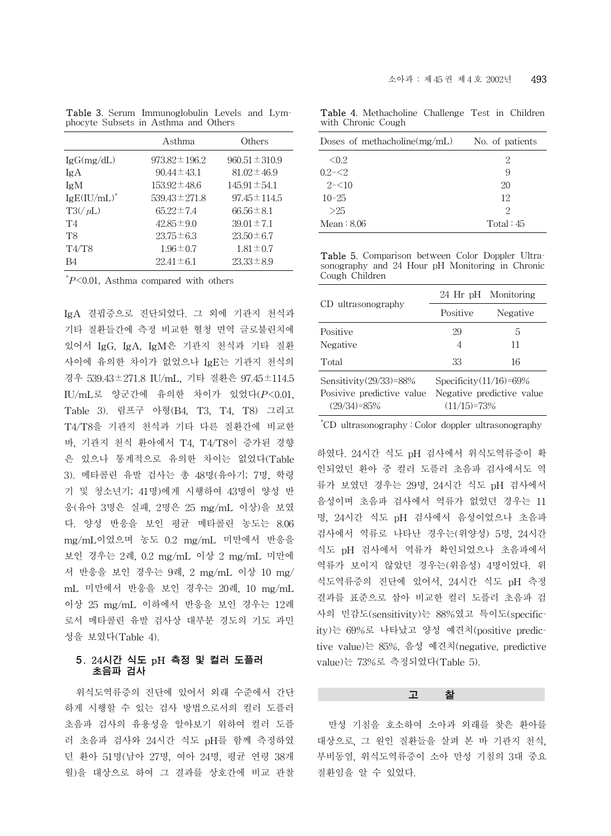|                | Asthma             | Others             |
|----------------|--------------------|--------------------|
| IgG(mg/dL)     | $973.82 \pm 196.2$ | $960.51 \pm 310.9$ |
| IgA            | $90.44 \pm 43.1$   | $81.02 \pm 46.9$   |
| IgM            | $153.92 \pm 48.6$  | $145.91 \pm 54.1$  |
| $IgE(IU/mL)^*$ | $539.43 \pm 271.8$ | $97.45 \pm 114.5$  |
| $T3/(\mu L)$   | $65.22 \pm 7.4$    | $66.56 \pm 8.1$    |
| T4             | $42.85 \pm 9.0$    | $39.01 \pm 7.1$    |
| T <sub>8</sub> | $23.75 \pm 6.3$    | $23.50 \pm 6.7$    |
| T4/T8          | $1.96 \pm 0.7$     | $1.81 \pm 0.7$     |
| Β4             | $22.41 \pm 6.1$    | $23.33 \pm 8.9$    |

Table 3. Serum Immunoglobulin Levels and Lymphocyte Subsets in Asthma and Others

\* *P*<0.01, Asthma compared with others

IgA 결핍증으로 진단되었다. 그 외에 기관지 천식과 기타 질환들간에 측정 비교한 혈청 면역 글로불린치에 있어서 IgG, IgA, IgM은 기관지 천식과 기타 질환 사이에 유의한 차이가 없었으나 IgE는 기관지 천식의 경우 539.43±271.8 IU/mL, 기타 질환은 97.45±114.5 IU/mL로 양군간에 유의한 차이가 있었다(*P*<0.01, Table 3). 림프구 아형(B4, T3, T4, T8) 그리고 T4/T8을 기관지 천식과 기타 다른 질환간에 비교한 바, 기관지 천식 환아에서 T4, T4/T8이 증가된 경향 은 있으나 통계적으로 유의한 차이는 없었다(Table 3). 메타콜린 유발 검사는 총 48명(유아기; 7명, 학령 기 및 청소년기; 41명)에게 시행하여 43명이 양성 반 응(유아 3명은 실패, 2명은 25 mg/mL 이상)을 보였 다. 양성 반응을 보인 평균 메타콜린 농도는 8.06 mg/mL이었으며 농도 0.2 mg/mL 미만에서 반응을 보인 경우는 2례, 0.2 mg/mL 이상 2 mg/mL 미만에 서 반응을 보인 경우는 9례, 2 mg/mL 이상 10 mg/ mL 미만에서 반응을 보인 경우는 20례, 10 mg/mL 이상 25 mg/mL 이하에서 반응을 보인 경우는 12례 로서 메타콜린 유발 검사상 대부분 경도의 기도 과민 성을 보였다(Table 4).

#### 5. 24시간 식도 pH 측정 및 컬러 도플러 초음파 검사

위식도역류증의 진단에 있어서 외래 수준에서 간단 하게 시행할 수 있는 검사 방법으로서의 컬러 도플러 초음파 검사의 유용성을 알아보기 위하여 컬러 도플 러 초음파 검사와 24시간 식도 pH를 함께 측정하였 던 환아 51명(남아 27명, 여아 24명, 평균 연령 38개 월)을 대상으로 하여 그 결과를 상호간에 비교 관찰

|  |                    | <b>Table 4.</b> Methacholine Challenge Test in Children |  |  |
|--|--------------------|---------------------------------------------------------|--|--|
|  | with Chronic Cough |                                                         |  |  |

| Doses of methacholine $(mg/mL)$ | No. of patients |
|---------------------------------|-----------------|
| < 0.2                           | 2               |
| $0.2 - 5.2$                     | 9               |
| $2 - 10$                        | 20              |
| $10 - 25$                       | 12              |
| >25                             | 2               |
| Mean: 8.06                      | Total:45        |

Table 5. Comparison between Color Doppler Ultrasonography and 24 Hour pH Monitoring in Chronic Cough Children

|                                                                            | 24 Hr pH Monitoring                                                      |          |  |  |
|----------------------------------------------------------------------------|--------------------------------------------------------------------------|----------|--|--|
| CD ultrasonography                                                         | Positive                                                                 | Negative |  |  |
| Positive<br>Negative                                                       | 29<br>4                                                                  | 5<br>11  |  |  |
| Total                                                                      | 33                                                                       | 16       |  |  |
| Sensitivity $(29/33)$ =88%<br>Posivive predictive value<br>$(29/34) = 85%$ | Specificity $(11/16)=69\%$<br>Negative predictive value<br>$(11/15)=73%$ |          |  |  |

\* CD ultrasonography : Color doppler ultrasonography

하였다. 24시간 식도 pH 검사에서 위식도역류증이 확 인되었던 환아 중 컬러 도플러 초음파 검사에서도 역 류가 보였던 경우는 29명, 24시간 식도 pH 검사에서 음성이며 초음파 검사에서 역류가 없었던 경우는 11 명, 24시간 식도 pH 검사에서 음성이었으나 초음파 검사에서 역류로 나타난 경우는(위양성) 5명, 24시간 식도 pH 검사에서 역류가 확인되었으나 초음파에서 역류가 보이지 않았던 경우는(위음성) 4명이었다. 위 식도역류증의 진단에 있어서, 24시간 식도 pH 측정 결과를 표준으로 삼아 비교한 컬러 도플러 초음파 검 사의 민감도(sensitivity)는 88%였고 특이도(specificity)는 69%로 나타났고 양성 예견치(positive predictive value)는 85%, 음성 예견치(negative, predictive value)는 73%로 측정되었다(Table 5).

#### 고 찰

만성 기침을 호소하여 소아과 외래를 찾은 환아를 대상으로, 그 원인 질환들을 살펴 본 바 기관지 천식, 부비동염, 위식도역류증이 소아 만성 기침의 3대 중요 질환임을 알 수 있었다.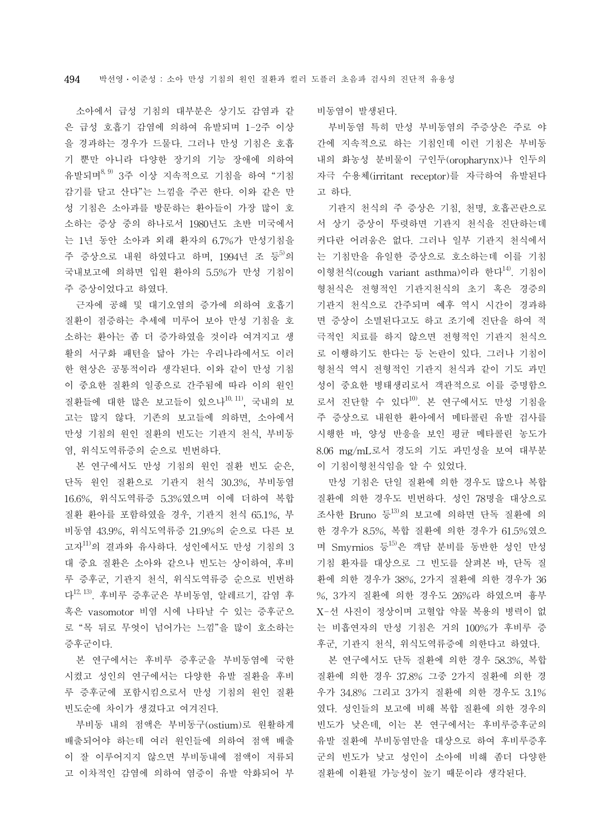소아에서 급성 기침의 대부분은 상기도 감염과 같 은 급성 호흡기 감염에 의하여 유발되며 1-2주 이상 을 경과하는 경우가 드물다. 그러나 만성 기침은 호흡 기 뿐만 아니라 다양한 장기의 기능 장애에 의하여 유발되며8, 9) 3주 이상 지속적으로 기침을 하여 "기침 감기를 달고 산다"는 느낌을 주곤 한다. 이와 같은 만 성 기침은 소아과를 방문하는 환아들이 가장 많이 호 소하는 증상 중의 하나로서 1980년도 초반 미국에서 는 1년 동안 소아과 외래 환자의 6.7%가 만성기침을 주 증상으로 내워 하였다고 하며, 1994년 조 등<sup>5)</sup>의 국내보고에 의하면 입원 환아의 5.5%가 만성 기침이 주 증상이었다고 하였다.

근자에 공해 및 대기오염의 증가에 의하여 호흡기 질환이 점증하는 추세에 미루어 보아 만성 기침을 호 소하는 환아는 좀 더 증가하였을 것이라 여겨지고 생 활의 서구화 패턴을 닮아 가는 우리나라에서도 이러 한 현상은 공통적이라 생각된다. 이와 같이 만성 기침 이 중요한 질환의 일종으로 간주됨에 따라 이의 원인 질환들에 대한 많은 보고들이 있으나10, 11), 국내의 보 고는 많지 않다. 기존의 보고들에 의하면, 소아에서 만성 기침의 원인 질환의 빈도는 기관지 천식, 부비동 염, 위식도역류증의 순으로 빈번하다.

본 연구에서도 만성 기침의 원인 질환 빈도 순은, 단독 원인 질환으로 기관지 천식 30.3%, 부비동염 16.6%, 위식도역류증 5.3%였으며 이에 더하여 복합 질환 환아를 포함하였을 경우, 기관지 천식 65.1%, 부 비동염 43.9%, 위식도역류증 21.9%의 순으로 다른 보 고자 $^{11)}$ 의 결과와 유사하다. 성인에서도 만성 기침의 3 대 중요 질환은 소아와 같으나 빈도는 상이하여, 후비 루 증후군, 기관지 천식, 위식도역류증 순으로 빈번하 다12, 13). 후비루 증후군은 부비동염, 알레르기, 감염 후 혹은 vasomotor 비염 시에 나타날 수 있는 증후군으 로 "목 뒤로 무엇이 넘어가는 느낌"을 많이 호소하는 증후군이다.

본 연구에서는 후비루 증후군을 부비동염에 국한 시켰고 성인의 연구에서는 다양한 유발 질환을 후비 루 증후군에 포함시킴으로서 만성 기침의 원인 질환 빈도순에 차이가 생겼다고 여겨진다.

부비동 내의 점액은 부비동구(ostium)로 원활하게 배출되어야 하는데 여러 원인들에 의하여 점액 배출 이 잘 이루어지지 않으면 부비동내에 점액이 저류되 고 이차적인 감염에 의하여 염증이 유발 악화되어 부 비동염이 발생된다.

부비동염 특히 만성 부비동염의 주증상은 주로 야 간에 지속적으로 하는 기침인데 이런 기침은 부비동 내의 화농성 분비물이 구인두(oropharynx)나 인두의 자극 수용체(irritant receptor)를 자극하여 유발된다 고 하다.

기관지 천식의 주 증상은 기침, 천명, 호흡곤란으로 서 상기 증상이 뚜렷하면 기관지 천식을 진단하는데 커다란 어려움은 없다. 그러나 일부 기관지 천식에서 는 기침만을 유일한 증상으로 호소하는데 이를 기침 이형천식(cough variant asthma)이라 한다14). 기침이 형천식은 전형적인 기관지천식의 초기 혹은 경증의 기관지 천식으로 간주되며 예후 역시 시간이 경과하 면 증상이 소멸된다고도 하고 조기에 진단을 하여 적 극적인 치료를 하지 않으면 전형적인 기관지 천식으 로 이행하기도 한다는 등 논란이 있다. 그러나 기침이 형천식 역시 전형적인 기관지 천식과 같이 기도 과민 성이 중요한 병태생리로서 객관적으로 이를 증명함으 로서 진단할 수 있다<sup>10)</sup>. 본 연구에서도 만성 기침을 주 증상으로 내원한 환아에서 메타콜린 유발 검사를 시행한 바, 양성 반응을 보인 평균 메타콜린 농도가 8.06 mg/mL로서 경도의 기도 과민성을 보여 대부분 이 기침이형천식임을 알 수 있었다.

만성 기침은 단일 질환에 의한 경우도 많으나 복합 질환에 의한 경우도 빈번하다. 성인 78명을 대상으로 조사한 Bruno 등13)의 보고에 의하면 단독 질환에 의 한 경우가 8.5%, 복합 질환에 의한 경우가 61.5%였으 며 Smyrnios 등 $^{15}$ 은 객담 분비를 동반한 성인 만성 기침 환자를 대상으로 그 빈도를 살펴본 바, 단독 질 환에 의한 경우가 38%, 2가지 질환에 의한 경우가 36 %, 3가지 질환에 의한 경우도 26%라 하였으며 흉부 X-선 사진이 정상이며 고혈압 약물 복용의 병력이 없 는 비흡연자의 만성 기침은 거의 100%가 후비루 증 후군, 기관지 천식, 위식도역류증에 의한다고 하였다.

본 연구에서도 단독 질환에 의한 경우 58.3%, 복합 질환에 의한 경우 37.8% 그중 2가지 질환에 의한 경 우가 34.8% 그리고 3가지 질환에 의한 경우도 3.1% 였다. 성인들의 보고에 비해 복합 질환에 의한 경우의 빈도가 낮은데, 이는 본 연구에서는 후비루증후군의 유발 질환에 부비동염만을 대상으로 하여 후비루증후 군의 빈도가 낮고 성인이 소아에 비해 좀더 다양한 질환에 이환될 가능성이 높기 때문이라 생각된다.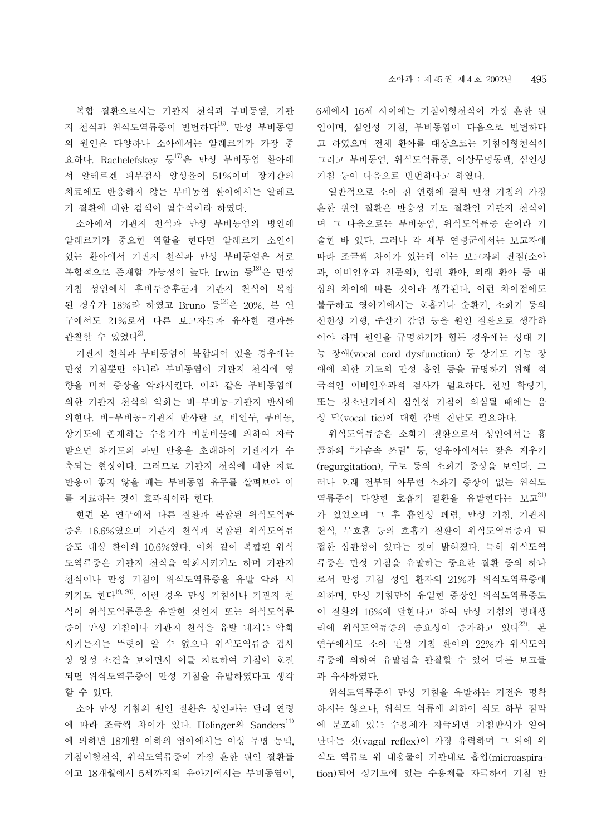복합 질환으로서는 기관지 천식과 부비동염, 기관 지 천식과 위식도역류증이 빈번하다16). 만성 부비동염 의 원인은 다양하나 소아에서는 알레르기가 가장 중 요하다. Rachelefskey 등17)은 만성 부비동염 환아에 서 알레르겐 피부검사 양성율이 51%이며 장기간의 치료에도 반응하지 않는 부비동염 환아에서는 알레르 기 질환에 대한 검색이 필수적이라 하였다.

소아에서 기관지 천식과 만성 부비동염의 병인에 알레르기가 중요한 역할을 한다면 알레르기 소인이 있는 환아에서 기관지 천식과 만성 부비동염은 서로 복합적으로 존재할 가능성이 높다. Irwin 등18)은 만성 기침 성인에서 후비루증후군과 기관지 천식이 복합 된 경우가 18%라 하였고 Bruno 등 3)은 20%, 본 연 구에서도 21%로서 다른 보고자들과 유사한 결과를 관찰할 수 있었다 $^{2}$ .

기관지 천식과 부비동염이 복합되어 있을 경우에는 만성 기침뿐만 아니라 부비동염이 기관지 천식에 영 향을 미쳐 증상을 악화시킨다. 이와 같은 부비동염에 의한 기관지 천식의 악화는 비-부비동-기관지 반사에 의한다. 비-부비동-기관지 반사란 코, 비인두, 부비동, 상기도에 존재하는 수용기가 비분비물에 의하여 자극 받으면 하기도의 과민 반응을 초래하여 기관지가 수 축되는 현상이다. 그러므로 기관지 천식에 대한 치료 반응이 좋지 않을 때는 부비동염 유무를 살펴보아 이 를 치료하는 것이 효과적이라 한다.

한편 본 연구에서 다른 질환과 복합된 위식도역류 증은 16.6%였으며 기관지 천식과 복합된 위식도역류 증도 대상 환아의 10.6%였다. 이와 같이 복합된 위식 도역류증은 기관지 천식을 악화시키기도 하며 기관지 천식이나 만성 기침이 위식도역류증을 유발 악화 시 키기도 한다19, 20). 이런 경우 만성 기침이나 기관지 천 식이 위식도역류증을 유발한 것인지 또는 위식도역류 증이 만성 기침이나 기관지 천식을 유발 내지는 악화 시키는지는 뚜렷이 알 수 없으나 위식도역류증 검사 상 양성 소견을 보이면서 이를 치료하여 기침이 호전 되면 위식도역류증이 만성 기침을 유발하였다고 생각 할 수 있다.

소아 만성 기침의 원인 질환은 성인과는 달리 연령 에 따라 조금씩 차이가 있다. Holinger와 Sanders<sup>11)</sup> 에 의하면 18개월 이하의 영아에서는 이상 무명 동맥, 기침이형천식, 위식도역류증이 가장 흔한 원인 질환들 이고 18개월에서 5세까지의 유아기에서는 부비동염이, 6세에서 16세 사이에는 기침이형천식이 가장 흔한 원 인이며, 심인성 기침, 부비동염이 다음으로 빈번하다 고 하였으며 전체 환아를 대상으로는 기침이형천식이 그리고 부비동염, 위식도역류증, 이상무명동맥, 심인성 기침 등이 다음으로 빈번하다고 하였다.

일반적으로 소아 전 연령에 걸쳐 만성 기침의 가장 흔한 원인 질환은 반응성 기도 질환인 기관지 천식이 며 그 다음으로는 부비동염, 위식도역류증 순이라 기 술한 바 있다. 그러나 각 세부 연령군에서는 보고자에 따라 조금씩 차이가 있는데 이는 보고자의 관점(소아 과, 이비인후과 전문의), 입원 환아, 외래 환아 등 대 상의 차이에 따른 것이라 생각된다. 이런 차이점에도 불구하고 영아기에서는 호흡기나 순환기, 소화기 등의 선천성 기형, 주산기 감염 등을 원인 질환으로 생각하 여야 하며 원인을 규명하기가 힘든 경우에는 성대 기 능 장애(vocal cord dysfunction) 등 상기도 기능 장 애에 의한 기도의 만성 흡인 등을 규명하기 위해 적 극적인 이비인후과적 검사가 필요하다. 한편 학령기, 또는 청소년기에서 심인성 기침이 의심될 때에는 음 성 틱(vocal tic)에 대한 감별 진단도 필요하다.

위식도역류증은 소화기 질환으로서 성인에서는 흉 골하의 "가슴속 쓰림" 등, 영유아에서는 잦은 게우기 (regurgitation), 구토 등의 소화기 증상을 보인다. 그 러나 오래 전부터 아무런 소화기 증상이 없는 위식도 역류증이 다양한 호흡기 질환을 유발한다는 보고<sup>21)</sup> 가 있었으며 그 후 흡인성 폐렴, 만성 기침, 기관지 천식, 무호흡 등의 호흡기 질환이 위식도역류증과 밀 접한 상관성이 있다는 것이 밝혀졌다. 특히 위식도역 류증은 만성 기침을 유발하는 중요한 질환 중의 하나 로서 만성 기침 성인 환자의 21%가 위식도역류증에 의하며, 만성 기침만이 유일한 증상인 위식도역류증도 이 질환의 16%에 달한다고 하여 만성 기침의 병태생 리에 위식도역류증의 중요성이 증가하고 있다<sup>22)</sup>. 본 연구에서도 소아 만성 기침 환아의 22%가 위식도역 류증에 의하여 유발됨을 관찰할 수 있어 다른 보고들 과 유사하였다.

위식도역류증이 만성 기침을 유발하는 기전은 명확 하지는 않으나, 위식도 역류에 의하여 식도 하부 점막 에 분포해 있는 수용체가 자극되면 기침반사가 일어 난다는 것(vagal reflex)이 가장 유력하며 그 외에 위 식도 역류로 위 내용물이 기관내로 흡입(microaspiration)되어 상기도에 있는 수용체를 자극하여 기침 반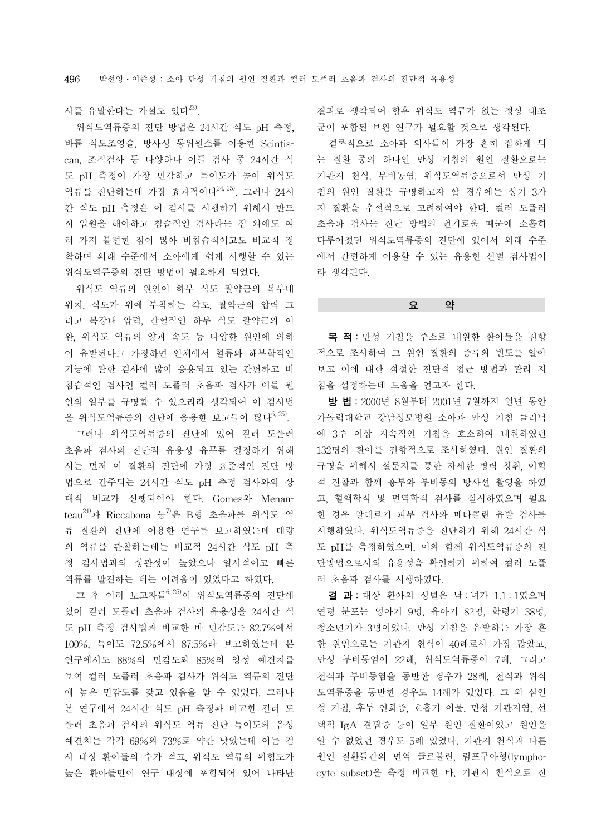사를 유발한다는 가설도 있다<sup>23)</sup>.

위식도역류증의 진단 방법은 24시간 식도 pH 측정, 바륨 식도조영술, 방사성 동위원소를 이용한 Scintiscan, 조직검사 등 다양하나 이들 검사 중 24시간 식 도 pH 측정이 가장 민감하고 특이도가 높아 위식도 역류를 진단하는데 가장 효과적이다 $^{24,25)}$ . 그러나 24시 간 식도 pH 측정은 이 검사를 시행하기 위해서 반드 시 입원을 해야하고 침습적인 검사라는 점 외에도 여 러 가지 불편한 점이 많아 비침습적이고도 비교적 정 확하며 외래 수준에서 소아에게 쉽게 시행할 수 있는 위식도역류증의 진단 방법이 필요하게 되었다.

위식도 역류의 원인이 하부 식도 괄약근의 복부내 위치, 식도가 위에 부착하는 각도, 괄약근의 압력 그 리고 복강내 압력, 간헐적인 하부 식도 괄약근의 이 완, 위식도 역류의 양과 속도 등 다양한 원인에 의하 여 유발된다고 가정하면 인체에서 혈류와 해부학적인 기능에 관한 검사에 많이 응용되고 있는 간편하고 비 침습적인 검사인 컬러 도플러 초음파 검사가 이들 원 인의 일부를 규명할 수 있으리라 생각되어 이 검사법 을 위식도역류증의 진단에 응용한 보고들이 많다<sup>6, 25)</sup>.

그러나 위식도역류증의 진단에 있어 컬러 도플러 초음파 검사의 진단적 유용성 유무를 결정하기 위해 서는 먼저 이 질환의 진단에 가장 표준적인 진단 방 법으로 간주되는 24시간 식도 pH 측정 검사와의 상 대적 비교가 선행되어야 한다. Gomes와 Menan $teau<sup>24)</sup>과$  Riccabona 등 $7$ 은 B형 초음파를 위식도 역 류 질환의 진단에 이용한 연구를 보고하였는데 대량 의 역류를 관찰하는데는 비교적 24시간 식도 pH 측 정 검사법과의 상관성이 높았으나 일시적이고 빠른 역류를 발견하는 데는 어려움이 있었다고 하였다.

그 후 여러 보고자들6, 25)이 위식도역류증의 진단에 있어 컬러 도플러 초음파 검사의 유용성을 24시간 식 도 pH 측정 검사법과 비교한 바 민감도는 82.7%에서 100%, 특이도 72.5%에서 87.5%라 보고하였는데 본 연구에서도 88%의 민감도와 85%의 양성 예견치를 보여 컬러 도플러 초음파 검사가 위식도 역류의 진단 에 높은 민감도를 갖고 있음을 알 수 있었다. 그러나 본 연구에서 24시간 식도 pH 측정과 비교한 컬러 도 플러 초음파 검사의 위식도 역류 진단 특이도와 음성 예견치는 각각 69%와 73%로 약간 낮았는데 이는 검 사 대상 환아들의 수가 적고, 위식도 역류의 위험도가 높은 환아들만이 연구 대상에 포함되어 있어 나타난

결과로 생각되어 향후 위식도 역류가 없는 정상 대조 군이 포함된 보완 연구가 필요할 것으로 생각된다.

결론적으로 소아과 의사들이 가장 흔히 접하게 되 는 질환 중의 하나인 만성 기침의 원인 질환으로는 기관지 천식, 부비동염, 위식도역류증으로서 만성 기 침의 원인 질환을 규명하고자 할 경우에는 상기 3가 지 질환을 우선적으로 고려하여야 한다. 컬러 도플러 초음파 검사는 진단 방법의 번거로움 때문에 소홀히 다루어졌던 위식도역류증의 진단에 있어서 외래 수준 에서 간편하게 이용할 수 있는 유용한 선별 검사법이 라 생각된다.

#### 요 약

목 적: 만성 기침을 주소로 내원한 환아들을 전향 적으로 조사하여 그 원인 질환의 종류와 빈도를 알아 보고 이에 대한 적절한 진단적 접근 방법과 관리 지 침을 설정하는데 도움을 얻고자 한다.

방 법: 2000년 8월부터 2001년 7월까지 일년 동안 가톨릭대학교 강남성모병원 소아과 만성 기침 클리닉 에 3주 이상 지속적인 기침을 호소하여 내원하였던 132명의 환아를 전향적으로 조사하였다. 원인 질환의 규명을 위해서 설문지를 통한 자세한 병력 청취, 이학 적 진찰과 함께 흉부와 부비동의 방사선 촬영을 하였 고, 혈액학적 및 면역학적 검사를 실시하였으며 필요 한 경우 알레르기 피부 검사와 메타콜린 유발 검사를 시행하였다. 위식도역류증을 진단하기 위해 24시간 식 도 pH를 측정하였으며, 이와 함께 위식도역류증의 진 단방법으로서의 유용성을 확인하기 위하여 컬러 도플 러 초음파 검사를 시행하였다.

결 과 : 대상 환아의 성별은 남 : 녀가 1.1 : 1였으며 연령 분포는 영아기 9명, 유아기 82명, 학령기 38명, 청소년기가 3명이었다. 만성 기침을 유발하는 가장 흔 한 원인으로는 기관지 천식이 40례로서 가장 많았고, 만성 부비동염이 22례, 위식도역류증이 7례, 그리고 천식과 부비동염을 동반한 경우가 28례, 천식과 위식 도역류증을 동반한 경우도 14례가 있었다. 그 외 심인 성 기침, 후두 연화증, 호흡기 이물, 만성 기관지염, 선 택적 IgA 결핍증 등이 일부 원인 질환이었고 원인을 알 수 없었던 경우도 5례 있었다. 기관지 천식과 다른 원인 질환들간의 면역 글로불린, 림프구아형(lymphocyte subset)을 측정 비교한 바, 기관지 천식으로 진